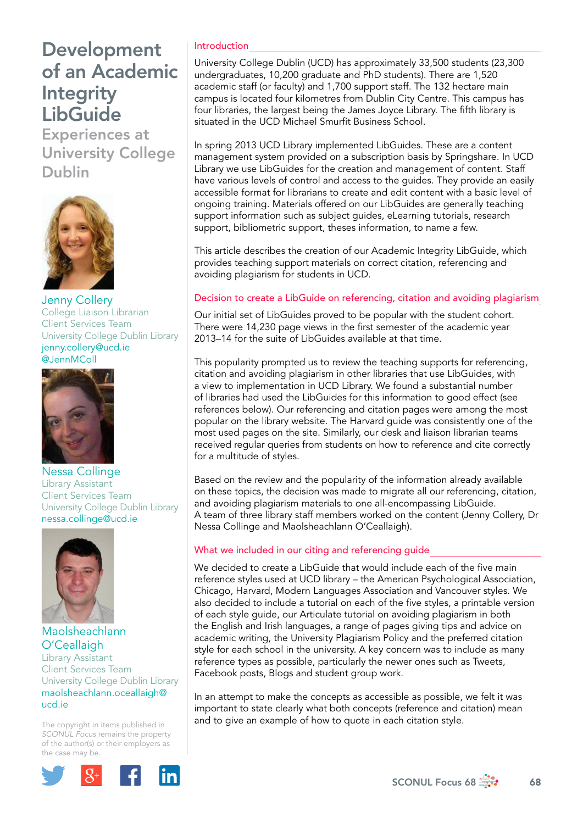Experiences at University College Dublin



Jenny Collery College Liaison Librarian Client Services Team University College Dublin Library [jenny.collery@ucd.ie](mailto:jenny.collery@ucd.ie) [@JennMColl](https://twitter.com/JennMColl)



Nessa Collinge Library Assistant Client Services Team University College Dublin Library [nessa.collinge@ucd.ie](file:///Users/stevegardner/Desktop/Focus%2068/nessa.collinge@ucd.ie)



#### Maolsheachlann O'Ceallaigh Library Assistant Client Services Team University College Dublin Library [maolsheachlann.oceallaigh@](mailto:maolsheachlann.oceallaigh@ucd.ie) [ucd.ie](mailto:maolsheachlann.oceallaigh@ucd.ie)

The copyright in items published in *SCONUL Focus* remains the property of the author(s) or their employers as the case may be.



## Introduction

University College Dublin (UCD) has approximately 33,500 students (23,300 undergraduates, 10,200 graduate and PhD students). There are 1,520 academic staff (or faculty) and 1,700 support staff. The 132 hectare main campus is located four kilometres from Dublin City Centre. This campus has four libraries, the largest being the James Joyce Library. The fifth library is situated in the UCD Michael Smurfit Business School.

In spring 2013 UCD Library implemented LibGuides. These are a content management system provided on a subscription basis by Springshare. In UCD Library we use LibGuides for the creation and management of content. Staff have various levels of control and access to the guides. They provide an easily accessible format for librarians to create and edit content with a basic level of ongoing training. Materials offered on our LibGuides are generally teaching support information such as subject guides, eLearning tutorials, research support, bibliometric support, theses information, to name a few.

This article describes the creation of our Academic Integrity LibGuide, which provides teaching support materials on correct citation, referencing and avoiding plagiarism for students in UCD.

### Decision to create a LibGuide on referencing, citation and avoiding plagiarism

Our initial set of LibGuides proved to be popular with the student cohort. There were 14,230 page views in the first semester of the academic year 2013–14 for the suite of LibGuides available at that time.

This popularity prompted us to review the teaching supports for referencing, citation and avoiding plagiarism in other libraries that use LibGuides, with a view to implementation in UCD Library. We found a substantial number of libraries had used the LibGuides for this information to good effect (see references below). Our referencing and citation pages were among the most popular on the library website. The Harvard guide was consistently one of the most used pages on the site. Similarly, our desk and liaison librarian teams received regular queries from students on how to reference and cite correctly for a multitude of styles.

Based on the review and the popularity of the information already available on these topics, the decision was made to migrate all our referencing, citation, and avoiding plagiarism materials to one all-encompassing LibGuide. A team of three library staff members worked on the content (Jenny Collery, Dr Nessa Collinge and Maolsheachlann O'Ceallaigh).

## What we included in our citing and referencing guide

We decided to create a LibGuide that would include each of the five main reference styles used at UCD library – the American Psychological Association, Chicago, Harvard, Modern Languages Association and Vancouver styles. We also decided to include a tutorial on each of the five styles, a printable version of each style guide, our Articulate tutorial on avoiding plagiarism in both the English and Irish languages, a range of pages giving tips and advice on academic writing, the University Plagiarism Policy and the preferred citation style for each school in the university. A key concern was to include as many reference types as possible, particularly the newer ones such as Tweets, Facebook posts, Blogs and student group work.

In an attempt to make the concepts as accessible as possible, we felt it was important to state clearly what both concepts (reference and citation) mean and to give an example of how to quote in each citation style.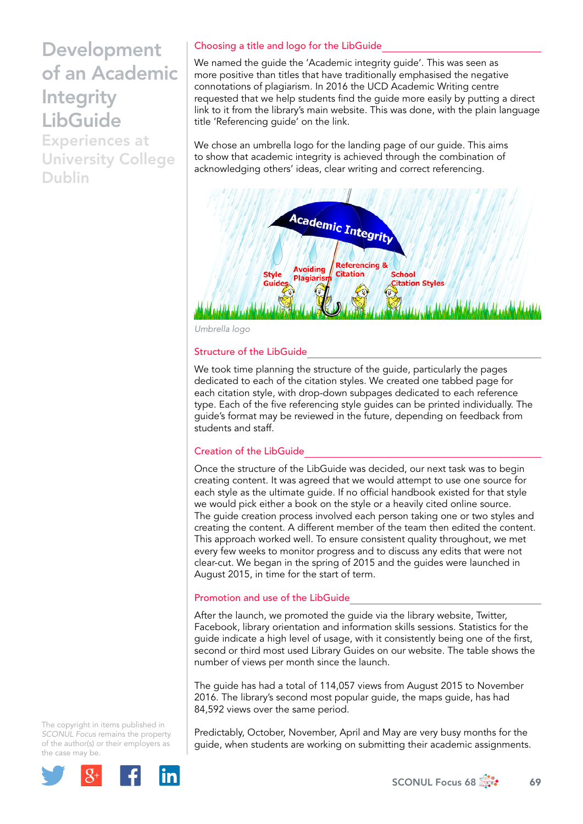Experiences at University College Dublin

## Choosing a title and logo for the LibGuide

We named the guide the 'Academic integrity guide'. This was seen as more positive than titles that have traditionally emphasised the negative connotations of plagiarism. In 2016 the UCD Academic Writing centre requested that we help students find the guide more easily by putting a direct link to it from the library's main website. This was done, with the plain language title 'Referencing guide' on the link.

We chose an umbrella logo for the landing page of our guide. This aims to show that academic integrity is achieved through the combination of acknowledging others' ideas, clear writing and correct referencing.



*Umbrella logo* 

#### Structure of the LibGuide

We took time planning the structure of the guide, particularly the pages dedicated to each of the citation styles. We created one tabbed page for each citation style, with drop-down subpages dedicated to each reference type. Each of the five referencing style guides can be printed individually. The guide's format may be reviewed in the future, depending on feedback from students and staff.

#### Creation of the LibGuide

Once the structure of the LibGuide was decided, our next task was to begin creating content. It was agreed that we would attempt to use one source for each style as the ultimate guide. If no official handbook existed for that style we would pick either a book on the style or a heavily cited online source. The guide creation process involved each person taking one or two styles and creating the content. A different member of the team then edited the content. This approach worked well. To ensure consistent quality throughout, we met every few weeks to monitor progress and to discuss any edits that were not clear-cut. We began in the spring of 2015 and the guides were launched in August 2015, in time for the start of term.

#### Promotion and use of the LibGuide

After the launch, we promoted the guide via the library website, Twitter, Facebook, library orientation and information skills sessions. Statistics for the guide indicate a high level of usage, with it consistently being one of the first, second or third most used Library Guides on our website. The table shows the number of views per month since the launch.

The guide has had a total of 114,057 views from August 2015 to November 2016. The library's second most popular guide, the maps guide, has had 84,592 views over the same period.

Predictably, October, November, April and May are very busy months for the guide, when students are working on submitting their academic assignments.

The copyright in items published in *SCONUL Focus* remains the property of the author(s) or their employers as the case may be.



 $SCONUL$  Focus 68  $\frac{1}{200}$  69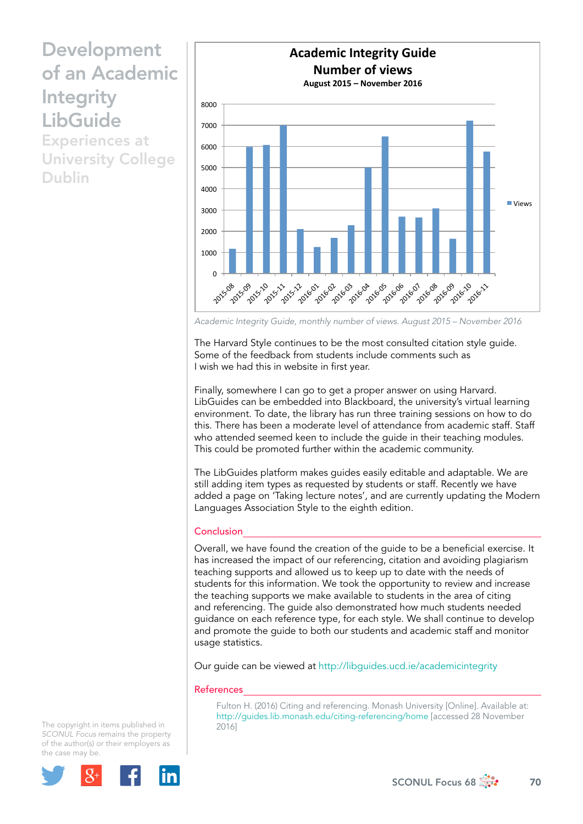Experiences at University College Dublin



*Academic Integrity Guide, monthly number of views. August 2015 – November 2016* 

The Harvard Style continues to be the most consulted citation style guide. Some of the feedback from students include comments such as I wish we had this in website in first year.

Finally, somewhere I can go to get a proper answer on using Harvard. LibGuides can be embedded into Blackboard, the university's virtual learning environment. To date, the library has run three training sessions on how to do this. There has been a moderate level of attendance from academic staff. Staff who attended seemed keen to include the guide in their teaching modules. This could be promoted further within the academic community.

The LibGuides platform makes guides easily editable and adaptable. We are still adding item types as requested by students or staff. Recently we have added a page on 'Taking lecture notes', and are currently updating the Modern Languages Association Style to the eighth edition.

#### **Conclusion**

Overall, we have found the creation of the guide to be a beneficial exercise. It has increased the impact of our referencing, citation and avoiding plagiarism teaching supports and allowed us to keep up to date with the needs of students for this information. We took the opportunity to review and increase the teaching supports we make available to students in the area of citing and referencing. The guide also demonstrated how much students needed guidance on each reference type, for each style. We shall continue to develop and promote the guide to both our students and academic staff and monitor usage statistics.

Our guide can be viewed at<http://libguides.ucd.ie/academicintegrity>

#### References

Fulton H. (2016) Citing and referencing. Monash University [Online]. Available at: <http://guides.lib.monash.edu/citing-referencing/home>[accessed 28 November 2016]

The copyright in items published in *SCONUL Focus* remains the property of the author(s) or their employers as the case may be.